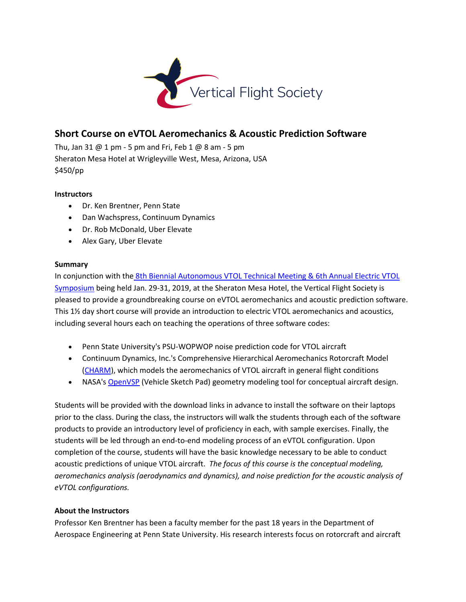

# **Short Course on eVTOL Aeromechanics & Acoustic Prediction Software**

Thu, Jan 31  $@$  1 pm - 5 pm and Fri, Feb 1  $@$  8 am - 5 pm Sheraton Mesa Hotel at Wrigleyville West, Mesa, Arizona, USA \$450/pp

## **Instructors**

- Dr. Ken Brentner, Penn State
- Dan Wachspress, Continuum Dynamics
- Dr. Rob McDonald, Uber Elevate
- Alex Gary, Uber Elevate

## **Summary**

In conjunction with the [8th Biennial Autonomous VTOL Technical Meeting & 6th Annual Electric VTOL](https://vtol.org/autonomous)  [Symposium](https://vtol.org/autonomous) being held Jan. 29-31, 2019, at the Sheraton Mesa Hotel, the Vertical Flight Society is pleased to provide a groundbreaking course on eVTOL aeromechanics and acoustic prediction software. This 1½ day short course will provide an introduction to electric VTOL aeromechanics and acoustics, including several hours each on teaching the operations of three software codes:

- Penn State University's PSU-WOPWOP noise prediction code for VTOL aircraft
- Continuum Dynamics, Inc.'s Comprehensive Hierarchical Aeromechanics Rotorcraft Model [\(CHARM\)](http://www.continuum-dynamics.com/pr-charm.html), which models the aeromechanics of VTOL aircraft in general flight conditions
- NASA's [OpenVSP](http://openvsp.org/) (Vehicle Sketch Pad) geometry modeling tool for conceptual aircraft design.

Students will be provided with the download links in advance to install the software on their laptops prior to the class. During the class, the instructors will walk the students through each of the software products to provide an introductory level of proficiency in each, with sample exercises. Finally, the students will be led through an end-to-end modeling process of an eVTOL configuration. Upon completion of the course, students will have the basic knowledge necessary to be able to conduct acoustic predictions of unique VTOL aircraft. *The focus of this course is the conceptual modeling, aeromechanics analysis (aerodynamics and dynamics), and noise prediction for the acoustic analysis of eVTOL configurations.*

## **About the Instructors**

Professor Ken Brentner has been a faculty member for the past 18 years in the Department of Aerospace Engineering at Penn State University. His research interests focus on rotorcraft and aircraft